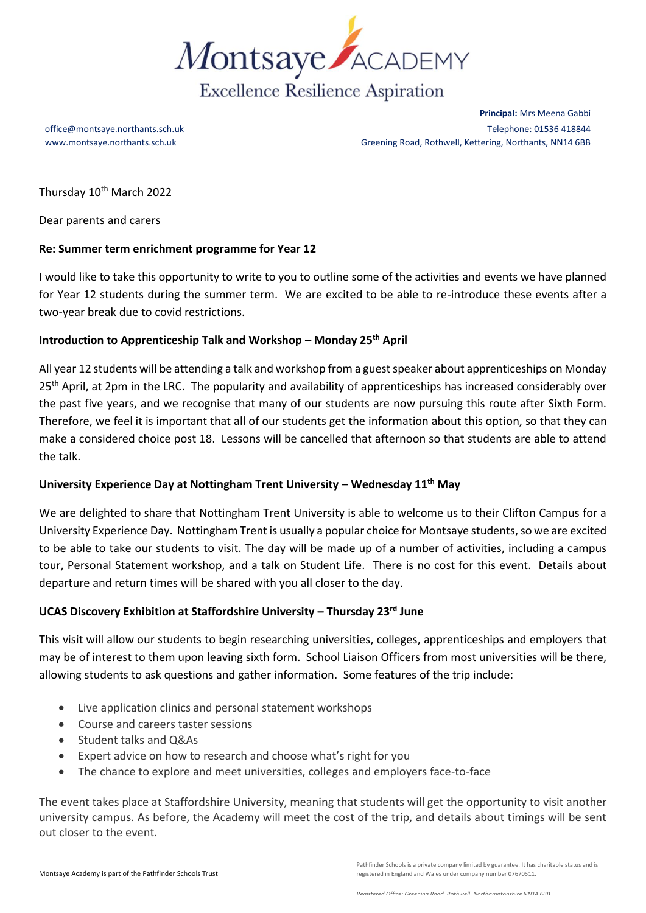

**Principal:** Mrs Meena Gabbi office@montsaye.northants.sch.uk Telephone: 01536 418844 www.montsaye.northants.sch.uk Greening Road, Rothwell, Kettering, Northants, NN14 6BB

Thursday 10<sup>th</sup> March 2022

Dear parents and carers

### **Re: Summer term enrichment programme for Year 12**

I would like to take this opportunity to write to you to outline some of the activities and events we have planned for Year 12 students during the summer term. We are excited to be able to re-introduce these events after a two-year break due to covid restrictions.

# **Introduction to Apprenticeship Talk and Workshop – Monday 25th April**

All year 12 students will be attending a talk and workshop from a guest speaker about apprenticeships on Monday 25<sup>th</sup> April, at 2pm in the LRC. The popularity and availability of apprenticeships has increased considerably over the past five years, and we recognise that many of our students are now pursuing this route after Sixth Form. Therefore, we feel it is important that all of our students get the information about this option, so that they can make a considered choice post 18. Lessons will be cancelled that afternoon so that students are able to attend the talk.

#### **University Experience Day at Nottingham Trent University – Wednesday 11th May**

We are delighted to share that Nottingham Trent University is able to welcome us to their Clifton Campus for a University Experience Day. Nottingham Trent is usually a popular choice for Montsaye students, so we are excited to be able to take our students to visit. The day will be made up of a number of activities, including a campus tour, Personal Statement workshop, and a talk on Student Life. There is no cost for this event. Details about departure and return times will be shared with you all closer to the day.

#### **UCAS Discovery Exhibition at Staffordshire University – Thursday 23rd June**

This visit will allow our students to begin researching universities, colleges, apprenticeships and employers that may be of interest to them upon leaving sixth form. School Liaison Officers from most universities will be there, allowing students to ask questions and gather information. Some features of the trip include:

- Live application clinics and personal statement workshops
- Course and careers taster sessions
- Student talks and Q&As
- Expert advice on how to research and choose what's right for you
- The chance to explore and meet universities, colleges and employers face-to-face

The event takes place at Staffordshire University, meaning that students will get the opportunity to visit another university campus. As before, the Academy will meet the cost of the trip, and details about timings will be sent out closer to the event.

Pathfinder Schools is a private company limited by guarantee. It has charitable status and is registered in England and Wales under company number 07670511.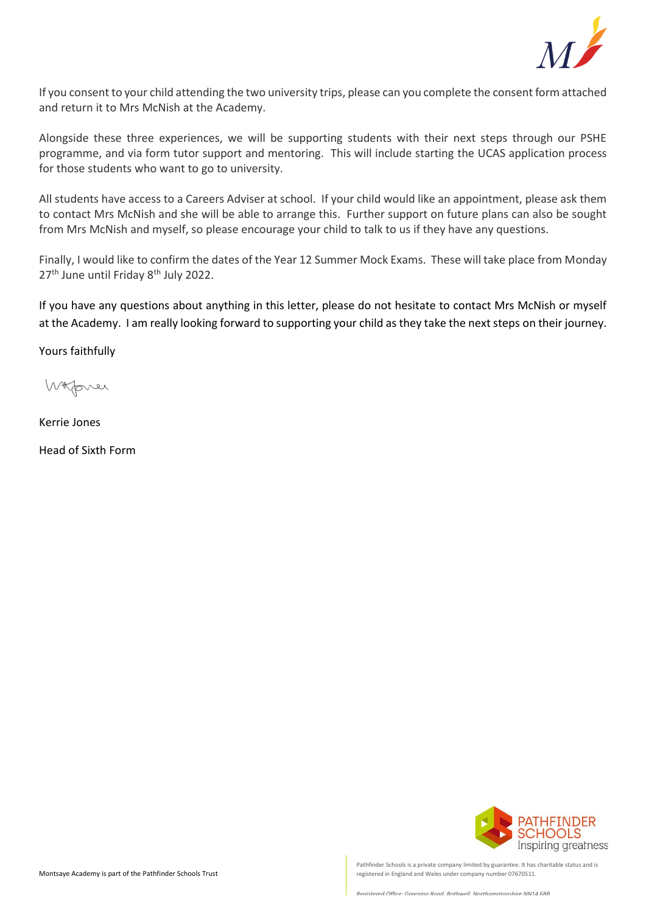

If you consent to your child attending the two university trips, please can you complete the consent form attached and return it to Mrs McNish at the Academy.

Alongside these three experiences, we will be supporting students with their next steps through our PSHE programme, and via form tutor support and mentoring. This will include starting the UCAS application process for those students who want to go to university.

All students have access to a Careers Adviser at school. If your child would like an appointment, please ask them to contact Mrs McNish and she will be able to arrange this. Further support on future plans can also be sought from Mrs McNish and myself, so please encourage your child to talk to us if they have any questions.

Finally, I would like to confirm the dates of the Year 12 Summer Mock Exams. These will take place from Monday 27<sup>th</sup> June until Friday 8<sup>th</sup> July 2022.

If you have any questions about anything in this letter, please do not hesitate to contact Mrs McNish or myself at the Academy. I am really looking forward to supporting your child as they take the next steps on their journey.

Yours faithfully

Whover

Kerrie Jones

Head of Sixth Form